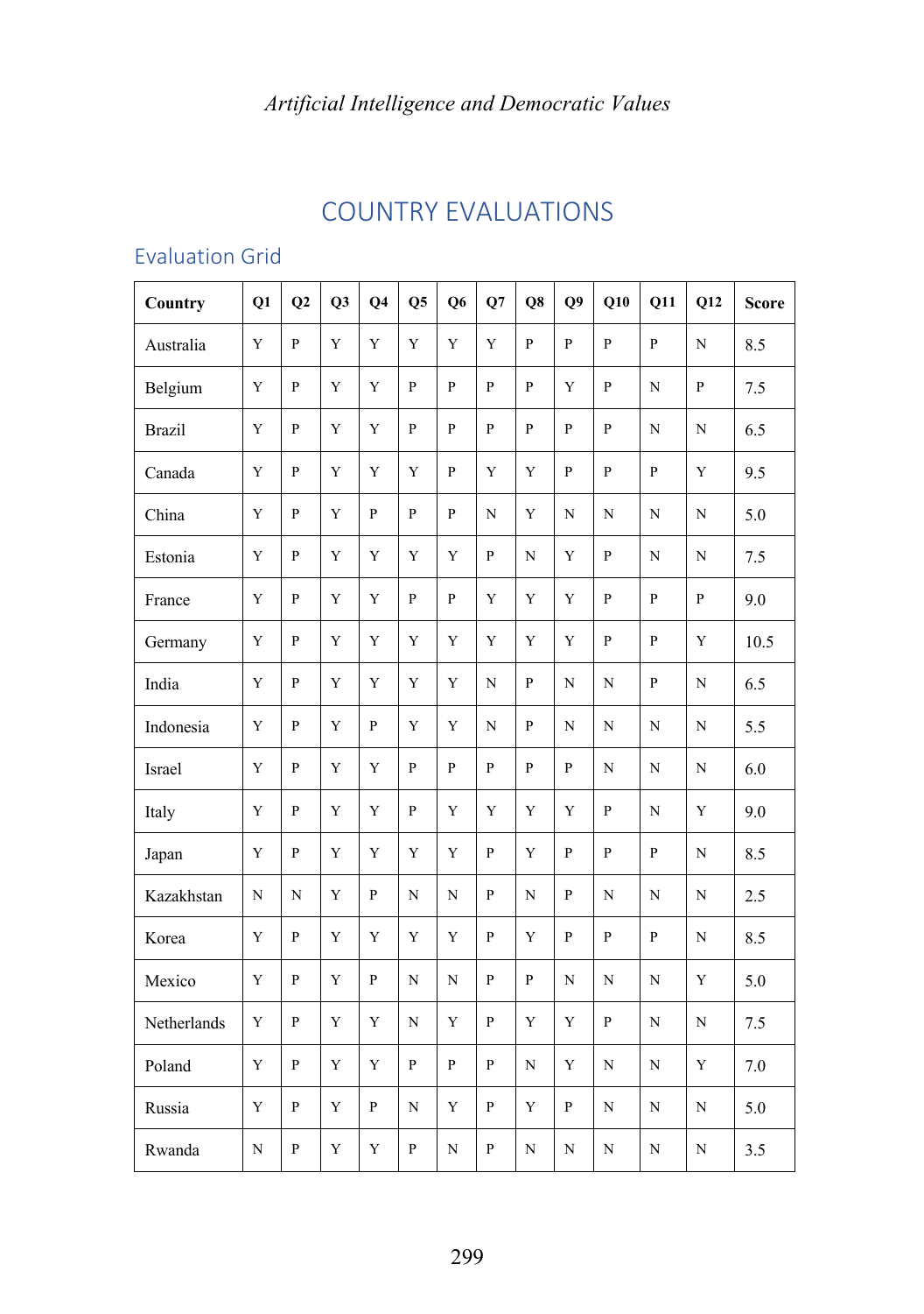# COUNTRY EVALUATIONS

## Evaluation Grid

| Country       | Q1          | Q2           | Q3          | Q <sub>4</sub> | Q <sub>5</sub> | Q <sub>6</sub> | Q7             | Q8           | Q <sub>9</sub> | Q10            | Q11            | Q12          | <b>Score</b> |
|---------------|-------------|--------------|-------------|----------------|----------------|----------------|----------------|--------------|----------------|----------------|----------------|--------------|--------------|
| Australia     | $\mathbf Y$ | P            | Y           | Y              | Y              | $\mathbf Y$    | Y              | $\mathsf{P}$ | $\overline{P}$ | P              | $\overline{P}$ | N            | 8.5          |
| Belgium       | $\mathbf Y$ | $\mathbf{P}$ | Y           | Y              | $\mathbf{P}$   | $\mathbf{P}$   | $\overline{P}$ | P            | Y              | $\mathbf{P}$   | $\mathbf N$    | $\mathbf{P}$ | 7.5          |
| <b>Brazil</b> | Y           | $\mathbf{P}$ | Y           | Y              | $\mathbf{P}$   | $\mathbf{P}$   | $\overline{P}$ | $\mathbf{P}$ | P              | $\mathbf{P}$   | $\mathbf N$    | $\mathbf N$  | 6.5          |
| Canada        | Y           | $\mathbf{P}$ | Y           | Y              | Y              | $\mathbf{P}$   | Y              | Y            | P              | $\overline{P}$ | $\mathbf{P}$   | Y            | 9.5          |
| China         | $\mathbf Y$ | ${\bf P}$    | Y           | $\overline{P}$ | $\mathbf{p}$   | $\mathbf{P}$   | $\mathbf N$    | Y            | N              | $\mathbf N$    | $\mathbf N$    | $\mathbf N$  | 5.0          |
| Estonia       | $\mathbf Y$ | $\mathbf{P}$ | Y           | Y              | Y              | Y              | $\overline{P}$ | N            | Y              | $\mathbf{P}$   | $\mathbf N$    | $\mathbf N$  | 7.5          |
| France        | Y           | $\mathbf{P}$ | Y           | Y              | $\mathbf{P}$   | $\mathbf{P}$   | Y              | Y            | Y              | $\mathbf{P}$   | $\mathbf{P}$   | $\mathbf{P}$ | 9.0          |
| Germany       | $\mathbf Y$ | $\mathbf{P}$ | Y           | Y              | Y              | Y              | Y              | Y            | Y              | $\overline{P}$ | $\mathbf{P}$   | Y            | 10.5         |
| India         | $\mathbf Y$ | $\mathbf{P}$ | Y           | Y              | $\mathbf Y$    | $\mathbf Y$    | N              | $\mathsf{P}$ | N              | $\mathbf N$    | $\mathbf{P}$   | $\mathbf N$  | 6.5          |
| Indonesia     | Y           | ${\bf P}$    | $\mathbf Y$ | P              | Y              | Y              | $\mathbf N$    | P            | $\mathbf N$    | $\mathbf N$    | $\mathbf N$    | $\mathbf N$  | 5.5          |
| Israel        | Y           | $\mathbf{P}$ | Y           | Y              | $\mathbf{P}$   | $\mathbf{P}$   | P              | P            | P              | N              | $\mathbf N$    | $\mathbf N$  | 6.0          |
| Italy         | Y           | $\mathbf{P}$ | Y           | Y              | $\mathbf{P}$   | Y              | Y              | Y            | Y              | $\mathbf{P}$   | $\mathbf N$    | Y            | 9.0          |
| Japan         | $\mathbf Y$ | P            | Y           | Y              | Y              | Y              | $\overline{P}$ | Y            | P              | $\overline{P}$ | $\mathbf{P}$   | N            | 8.5          |
| Kazakhstan    | ${\bf N}$   | ${\bf N}$    | $\mathbf Y$ | $\, {\bf p}$   | $\mathbf N$    | $\mathbf N$    | $\mathbf{P}$   | N            | $\mathbf{P}$   | N              | ${\bf N}$      | $\mathbf N$  | 2.5          |
| Korea         | Y           | ${\bf P}$    | Y           | Y              | Y              | Y              | P              | Y            | P              | $\overline{P}$ | $\mathbf{P}$   | $\mathbf N$  | 8.5          |
| Mexico        | Y           | ${\bf P}$    | Y           | $\mathbf{P}$   | $\mathbf N$    | $\mathbf N$    | $\mathbf{P}$   | $\mathbf{P}$ | N              | $\mathbf N$    | ${\bf N}$      | Y            | 5.0          |
| Netherlands   | $\mathbf Y$ | P            | Y           | Y              | N              | Y              | P              | Y            | Y              | $\mathbf{P}$   | N              | N            | 7.5          |
| Poland        | $\mathbf Y$ | $\mathbf{P}$ | Y           | Y              | $\mathbf{P}$   | $\mathbf{P}$   | P              | N            | Y              | N              | ${\bf N}$      | Y            | 7.0          |
| Russia        | Y           | $\mathbf{P}$ | Y           | P              | N              | Y              | $\mathbf{P}$   | Y            | P              | N              | ${\bf N}$      | $\mathbf N$  | 5.0          |
| Rwanda        | $\mathbf N$ | P            | Y           | Y              | P              | N              | P              | N            | N              | N              | $\mathbf N$    | N            | 3.5          |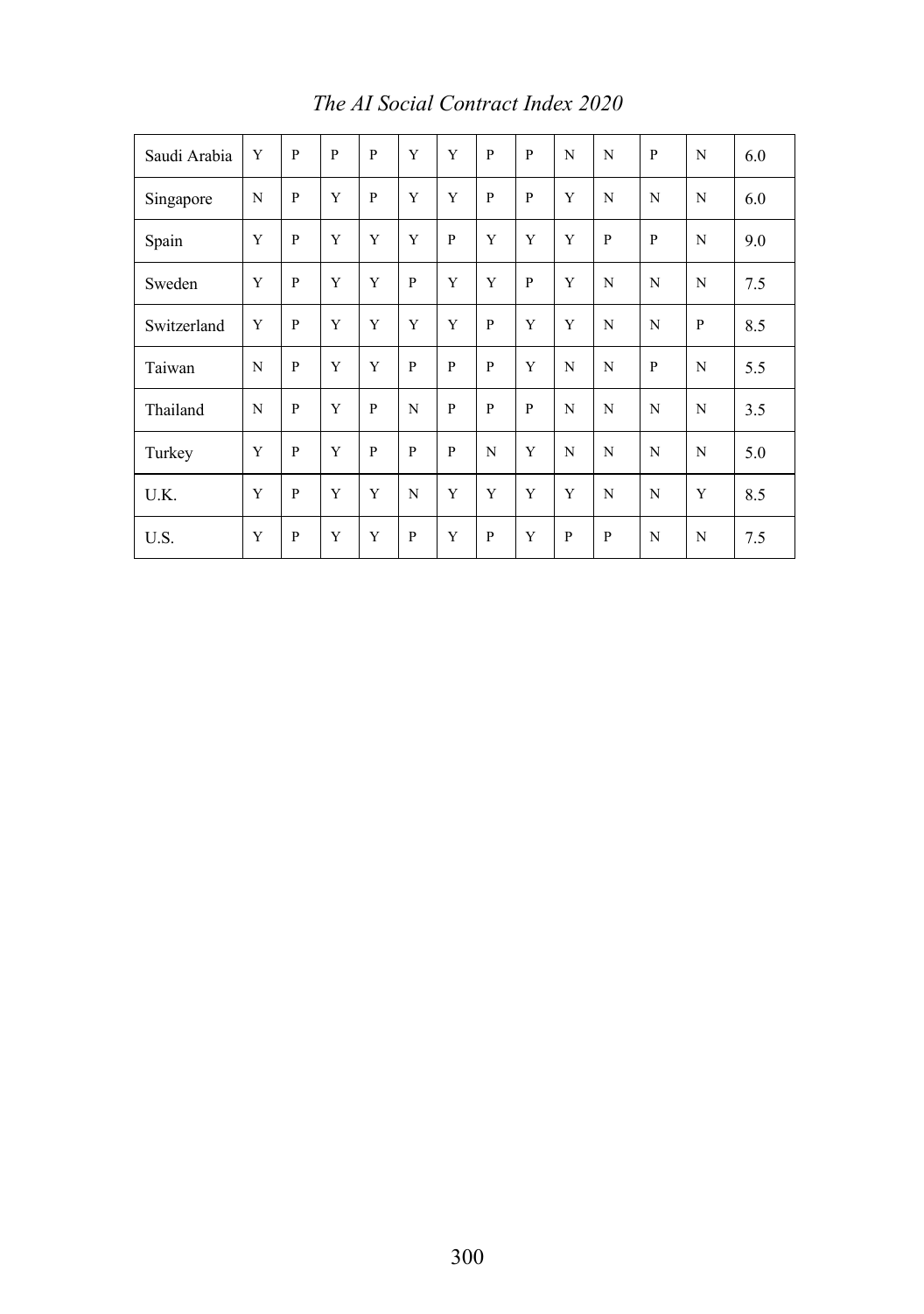| Saudi Arabia | Y | P            | $\mathbf{P}$ | P | Y            | Y              | P            | P | N | N            | P | N | 6.0 |
|--------------|---|--------------|--------------|---|--------------|----------------|--------------|---|---|--------------|---|---|-----|
| Singapore    | N | P            | Y            | P | Y            | Y              | $\mathbf{P}$ | P | Y | N            | N | N | 6.0 |
| Spain        | Y | P            | Y            | Y | Y            | $\mathbf{P}$   | Y            | Y | Y | $\mathbf{P}$ | P | N | 9.0 |
| Sweden       | Y | $\mathbf{P}$ | Y            | Y | P            | Y              | Y            | P | Y | N            | N | N | 7.5 |
| Switzerland  | Y | P            | Y            | Y | Y            | Y              | $\mathbf{P}$ | Y | Y | N            | N | P | 8.5 |
| Taiwan       | N | $\mathbf{P}$ | Y            | Y | $\mathbf{P}$ | $\overline{P}$ | P            | Y | N | N            | P | N | 5.5 |
| Thailand     | N | $\mathbf{P}$ | Y            | P | N            | $\mathbf{P}$   | P            | P | N | N            | N | N | 3.5 |
| Turkey       | Y | P            | Y            | P | P            | $\mathbf{P}$   | N            | Y | N | N            | N | N | 5.0 |
| U.K.         | Y | $\mathbf{P}$ | Y            | Y | N            | Y              | Y            | Y | Y | N            | N | Y | 8.5 |
| U.S.         | Y | $\mathbf{P}$ | Y            | Y | $\mathbf{P}$ | Y              | $\mathbf{P}$ | Y | P | $\mathbf{P}$ | N | N | 7.5 |

*The AI Social Contract Index 2020*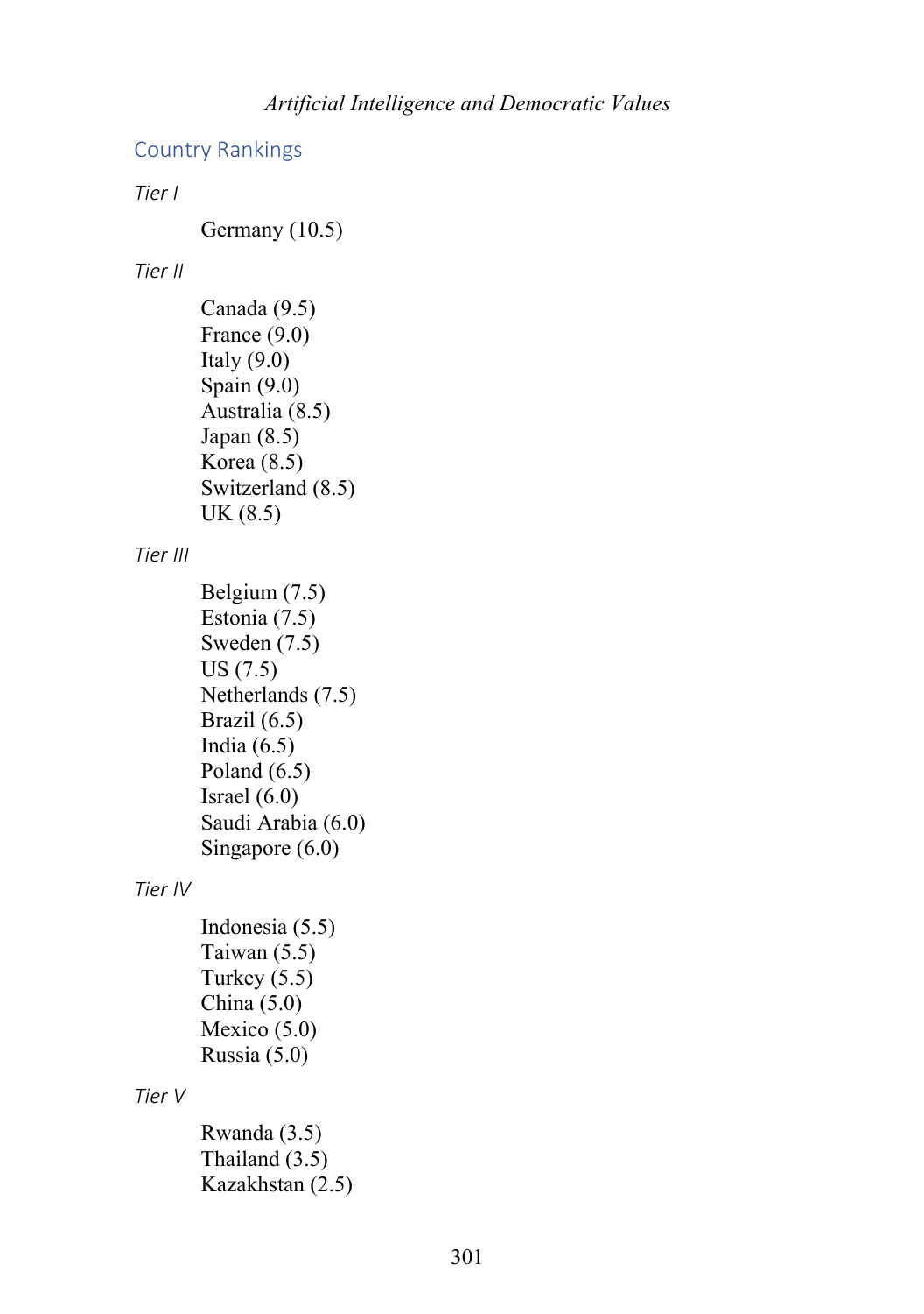### Country Rankings

*Tier I*

Germany (10.5)

#### *Tier II*

```
Canada (9.5)
France (9.0)
Italy (9.0)Spain (9.0)
Australia (8.5)
Japan (8.5)
Korea (8.5)
Switzerland (8.5)
UK (8.5)
```
*Tier III*

```
Belgium (7.5)
Estonia (7.5)
Sweden (7.5)
US (7.5)
Netherlands (7.5)
Brazil (6.5)
India (6.5)Poland (6.5)
Israel (6.0)
Saudi Arabia (6.0)
Singapore (6.0)
```
#### *Tier IV*

```
Indonesia (5.5)
Taiwan (5.5)
Turkey (5.5)
China (5.0)
Mexico (5.0)
Russia (5.0)
```
*Tier V*

```
Rwanda (3.5)
Thailand (3.5)
Kazakhstan (2.5)
```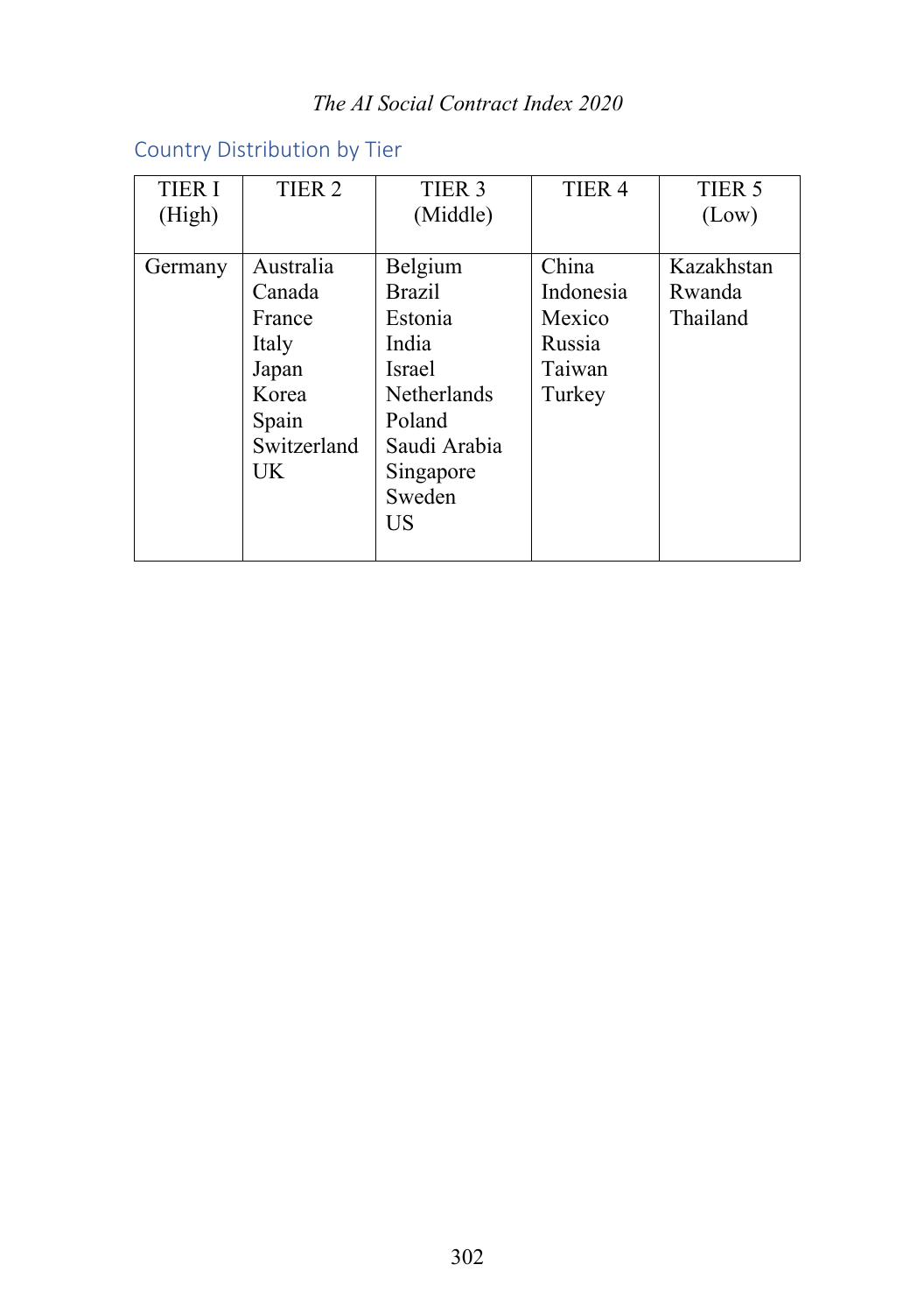## *The AI Social Contract Index 2020*

# Country Distribution by Tier

| <b>TIER I</b> | TIER <sub>2</sub> | TIER <sub>3</sub>  | TIER <sub>4</sub> | TIER <sub>5</sub> |
|---------------|-------------------|--------------------|-------------------|-------------------|
| (High)        |                   | (Middle)           |                   | (Low)             |
|               |                   |                    |                   |                   |
| Germany       | Australia         | Belgium            | China             | Kazakhstan        |
|               | Canada            | <b>Brazil</b>      | Indonesia         | Rwanda            |
|               | France            | Estonia            | Mexico            | Thailand          |
|               | Italy             | India              | Russia            |                   |
|               | Japan             | <b>Israel</b>      | Taiwan            |                   |
|               | Korea             | <b>Netherlands</b> | Turkey            |                   |
|               | Spain             | Poland             |                   |                   |
|               | Switzerland       | Saudi Arabia       |                   |                   |
|               | UK                | Singapore          |                   |                   |
|               |                   | Sweden             |                   |                   |
|               |                   | US                 |                   |                   |
|               |                   |                    |                   |                   |